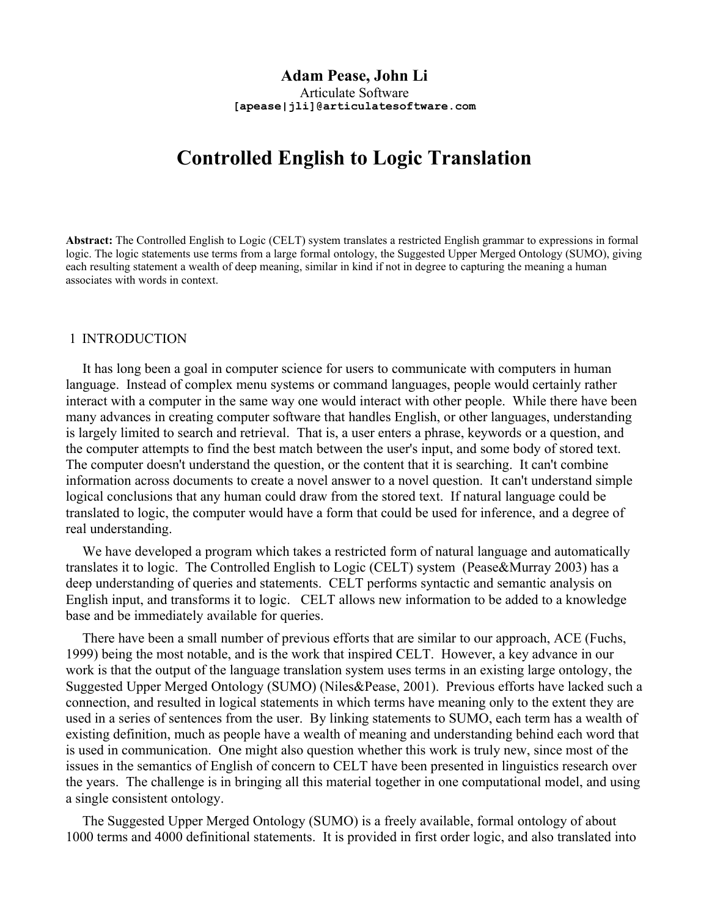### **Adam Pease, John Li**

Articulate Software **[apease|jli]@articulatesoftware.com**

# **Controlled English to Logic Translation**

**Abstract:** The Controlled English to Logic (CELT) system translates a restricted English grammar to expressions in formal logic. The logic statements use terms from a large formal ontology, the Suggested Upper Merged Ontology (SUMO), giving each resulting statement a wealth of deep meaning, similar in kind if not in degree to capturing the meaning a human associates with words in context.

## 1 INTRODUCTION

It has long been a goal in computer science for users to communicate with computers in human language. Instead of complex menu systems or command languages, people would certainly rather interact with a computer in the same way one would interact with other people. While there have been many advances in creating computer software that handles English, or other languages, understanding is largely limited to search and retrieval. That is, a user enters a phrase, keywords or a question, and the computer attempts to find the best match between the user's input, and some body of stored text. The computer doesn't understand the question, or the content that it is searching. It can't combine information across documents to create a novel answer to a novel question. It can't understand simple logical conclusions that any human could draw from the stored text. If natural language could be translated to logic, the computer would have a form that could be used for inference, and a degree of real understanding.

We have developed a program which takes a restricted form of natural language and automatically translates it to logic. The Controlled English to Logic (CELT) system (Pease&Murray 2003) has a deep understanding of queries and statements. CELT performs syntactic and semantic analysis on English input, and transforms it to logic. CELT allows new information to be added to a knowledge base and be immediately available for queries.

There have been a small number of previous efforts that are similar to our approach, ACE (Fuchs, 1999) being the most notable, and is the work that inspired CELT. However, a key advance in our work is that the output of the language translation system uses terms in an existing large ontology, the Suggested Upper Merged Ontology (SUMO) (Niles&Pease, 2001). Previous efforts have lacked such a connection, and resulted in logical statements in which terms have meaning only to the extent they are used in a series of sentences from the user. By linking statements to SUMO, each term has a wealth of existing definition, much as people have a wealth of meaning and understanding behind each word that is used in communication. One might also question whether this work is truly new, since most of the issues in the semantics of English of concern to CELT have been presented in linguistics research over the years. The challenge is in bringing all this material together in one computational model, and using a single consistent ontology.

The Suggested Upper Merged Ontology (SUMO) is a freely available, formal ontology of about 1000 terms and 4000 definitional statements. It is provided in first order logic, and also translated into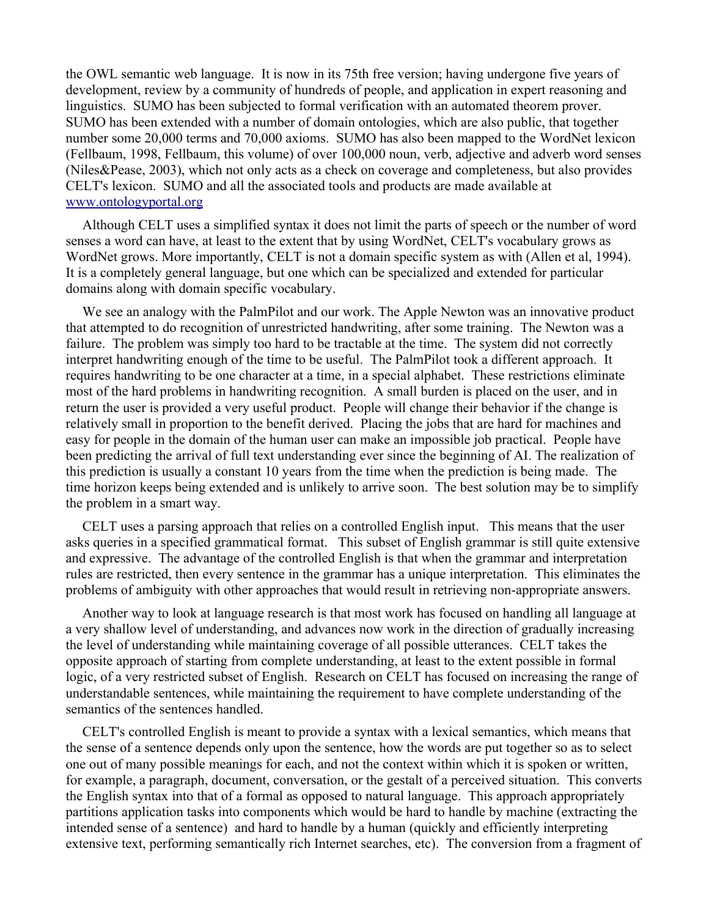the OWL semantic web language. It is now in its 75th free version; having undergone five years of development, review by a community of hundreds of people, and application in expert reasoning and linguistics. SUMO has been subjected to formal verification with an automated theorem prover. SUMO has been extended with a number of domain ontologies, which are also public, that together number some 20,000 terms and 70,000 axioms. SUMO has also been mapped to the WordNet lexicon (Fellbaum, 1998, Fellbaum, this volume) of over 100,000 noun, verb, adjective and adverb word senses (Niles&Pease, 2003), which not only acts as a check on coverage and completeness, but also provides CELT's lexicon. SUMO and all the associated tools and products are made available at [www.ontologyportal.org](http://www.ontologyportal.org/)

Although CELT uses a simplified syntax it does not limit the parts of speech or the number of word senses a word can have, at least to the extent that by using WordNet, CELT's vocabulary grows as WordNet grows. More importantly, CELT is not a domain specific system as with (Allen et al, 1994). It is a completely general language, but one which can be specialized and extended for particular domains along with domain specific vocabulary.

We see an analogy with the PalmPilot and our work. The Apple Newton was an innovative product that attempted to do recognition of unrestricted handwriting, after some training. The Newton was a failure. The problem was simply too hard to be tractable at the time. The system did not correctly interpret handwriting enough of the time to be useful. The PalmPilot took a different approach. It requires handwriting to be one character at a time, in a special alphabet. These restrictions eliminate most of the hard problems in handwriting recognition. A small burden is placed on the user, and in return the user is provided a very useful product. People will change their behavior if the change is relatively small in proportion to the benefit derived. Placing the jobs that are hard for machines and easy for people in the domain of the human user can make an impossible job practical. People have been predicting the arrival of full text understanding ever since the beginning of AI. The realization of this prediction is usually a constant 10 years from the time when the prediction is being made. The time horizon keeps being extended and is unlikely to arrive soon. The best solution may be to simplify the problem in a smart way.

CELT uses a parsing approach that relies on a controlled English input. This means that the user asks queries in a specified grammatical format. This subset of English grammar is still quite extensive and expressive. The advantage of the controlled English is that when the grammar and interpretation rules are restricted, then every sentence in the grammar has a unique interpretation. This eliminates the problems of ambiguity with other approaches that would result in retrieving non-appropriate answers.

Another way to look at language research is that most work has focused on handling all language at a very shallow level of understanding, and advances now work in the direction of gradually increasing the level of understanding while maintaining coverage of all possible utterances. CELT takes the opposite approach of starting from complete understanding, at least to the extent possible in formal logic, of a very restricted subset of English. Research on CELT has focused on increasing the range of understandable sentences, while maintaining the requirement to have complete understanding of the semantics of the sentences handled.

CELT's controlled English is meant to provide a syntax with a lexical semantics, which means that the sense of a sentence depends only upon the sentence, how the words are put together so as to select one out of many possible meanings for each, and not the context within which it is spoken or written, for example, a paragraph, document, conversation, or the gestalt of a perceived situation. This converts the English syntax into that of a formal as opposed to natural language. This approach appropriately partitions application tasks into components which would be hard to handle by machine (extracting the intended sense of a sentence) and hard to handle by a human (quickly and efficiently interpreting extensive text, performing semantically rich Internet searches, etc). The conversion from a fragment of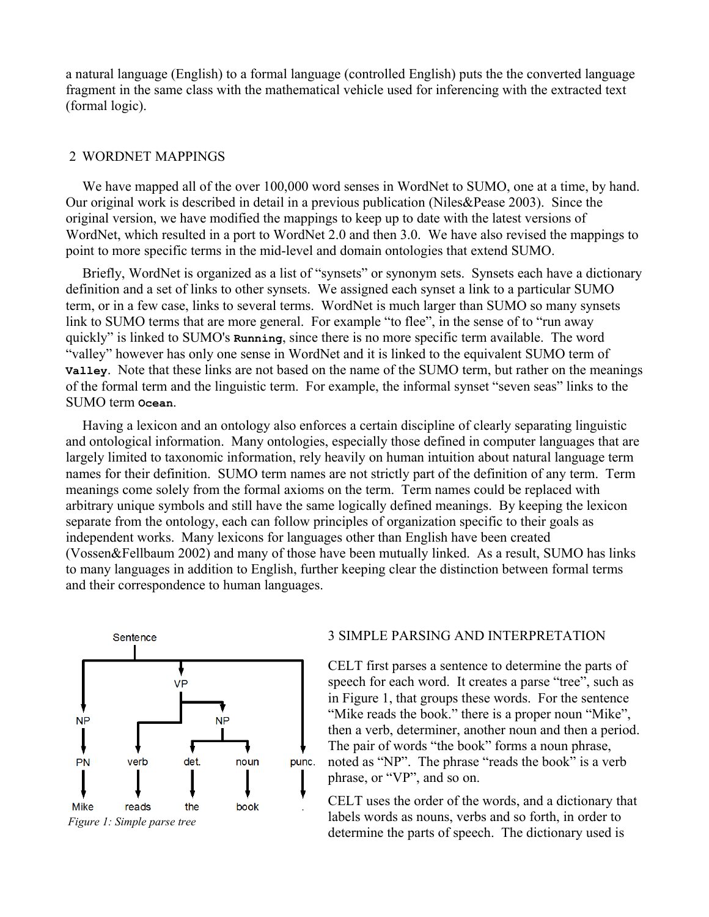a natural language (English) to a formal language (controlled English) puts the the converted language fragment in the same class with the mathematical vehicle used for inferencing with the extracted text (formal logic).

#### 2 WORDNET MAPPINGS

We have mapped all of the over 100,000 word senses in WordNet to SUMO, one at a time, by hand. Our original work is described in detail in a previous publication (Niles&Pease 2003). Since the original version, we have modified the mappings to keep up to date with the latest versions of WordNet, which resulted in a port to WordNet 2.0 and then 3.0. We have also revised the mappings to point to more specific terms in the mid-level and domain ontologies that extend SUMO.

Briefly, WordNet is organized as a list of "synsets" or synonym sets. Synsets each have a dictionary definition and a set of links to other synsets. We assigned each synset a link to a particular SUMO term, or in a few case, links to several terms. WordNet is much larger than SUMO so many synsets link to SUMO terms that are more general. For example "to flee", in the sense of to "run away quickly" is linked to SUMO's **Running**, since there is no more specific term available. The word "valley" however has only one sense in WordNet and it is linked to the equivalent SUMO term of **Valley**. Note that these links are not based on the name of the SUMO term, but rather on the meanings of the formal term and the linguistic term. For example, the informal synset "seven seas" links to the SUMO term **Ocean**.

Having a lexicon and an ontology also enforces a certain discipline of clearly separating linguistic and ontological information. Many ontologies, especially those defined in computer languages that are largely limited to taxonomic information, rely heavily on human intuition about natural language term names for their definition. SUMO term names are not strictly part of the definition of any term. Term meanings come solely from the formal axioms on the term. Term names could be replaced with arbitrary unique symbols and still have the same logically defined meanings. By keeping the lexicon separate from the ontology, each can follow principles of organization specific to their goals as independent works. Many lexicons for languages other than English have been created (Vossen&Fellbaum 2002) and many of those have been mutually linked. As a result, SUMO has links to many languages in addition to English, further keeping clear the distinction between formal terms and their correspondence to human languages.

<span id="page-2-0"></span>

#### 3 SIMPLE PARSING AND INTERPRETATION

CELT first parses a sentence to determine the parts of speech for each word. It creates a parse "tree", such as in [Figure 1,](#page-2-0) that groups these words. For the sentence "Mike reads the book." there is a proper noun "Mike", then a verb, determiner, another noun and then a period. The pair of words "the book" forms a noun phrase, noted as "NP". The phrase "reads the book" is a verb phrase, or "VP", and so on.

CELT uses the order of the words, and a dictionary that labels words as nouns, verbs and so forth, in order to determine the parts of speech. The dictionary used is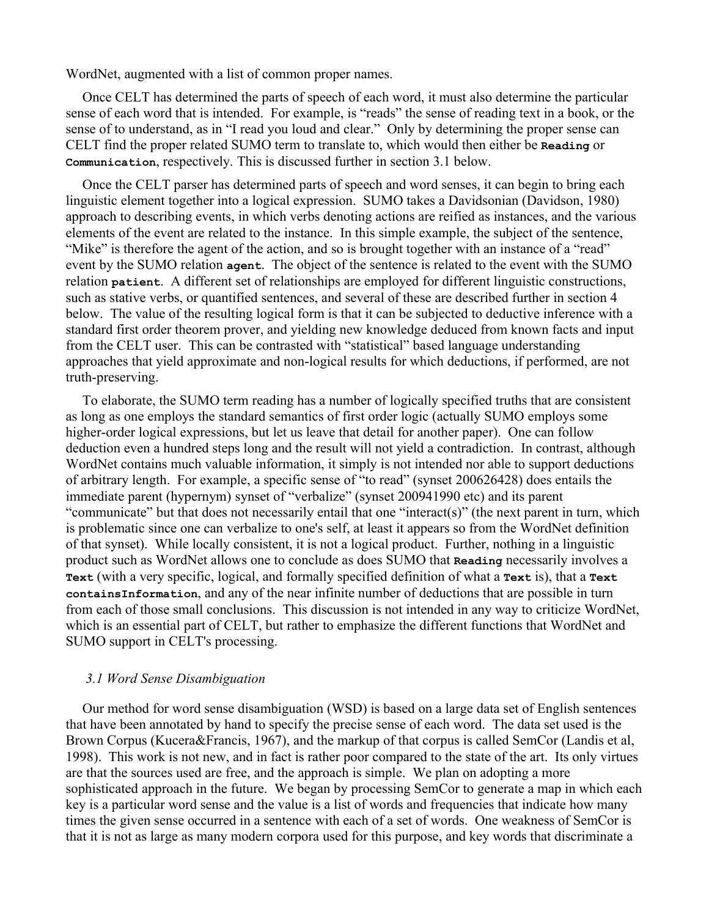WordNet, augmented with a list of common proper names.

Once CELT has determined the parts of speech of each word, it must also determine the particular sense of each word that is intended. For example, is "reads" the sense of reading text in a book, or the sense of to understand, as in "I read you loud and clear." Only by determining the proper sense can CELT find the proper related SUMO term to translate to, which would then either be **Reading** or **Communication**, respectively. This is discussed further in section 3.1 below.

Once the CELT parser has determined parts of speech and word senses, it can begin to bring each linguistic element together into a logical expression. SUMO takes a Davidsonian (Davidson, 1980) approach to describing events, in which verbs denoting actions are reified as instances, and the various elements of the event are related to the instance. In this simple example, the subject of the sentence, "Mike" is therefore the agent of the action, and so is brought together with an instance of a "read" event by the SUMO relation **agent**. The object of the sentence is related to the event with the SUMO relation **patient**. A different set of relationships are employed for different linguistic constructions, such as stative verbs, or quantified sentences, and several of these are described further in section 4 below. The value of the resulting logical form is that it can be subjected to deductive inference with a standard first order theorem prover, and yielding new knowledge deduced from known facts and input from the CELT user. This can be contrasted with "statistical" based language understanding approaches that yield approximate and non-logical results for which deductions, if performed, are not truth-preserving.

To elaborate, the SUMO term reading has a number of logically specified truths that are consistent as long as one employs the standard semantics of first order logic (actually SUMO employs some higher-order logical expressions, but let us leave that detail for another paper). One can follow deduction even a hundred steps long and the result will not yield a contradiction. In contrast, although WordNet contains much valuable information, it simply is not intended nor able to support deductions of arbitrary length. For example, a specific sense of "to read" (synset 200626428) does entails the immediate parent (hypernym) synset of "verbalize" (synset 200941990 etc) and its parent "communicate" but that does not necessarily entail that one "interact(s)" (the next parent in turn, which is problematic since one can verbalize to one's self, at least it appears so from the WordNet definition of that synset). While locally consistent, it is not a logical product. Further, nothing in a linguistic product such as WordNet allows one to conclude as does SUMO that **Reading** necessarily involves a **Text** (with a very specific, logical, and formally specified definition of what a **Text** is), that a **Text containsInformation**, and any of the near infinite number of deductions that are possible in turn from each of those small conclusions. This discussion is not intended in any way to criticize WordNet, which is an essential part of CELT, but rather to emphasize the different functions that WordNet and SUMO support in CELT's processing.

### *3.1 Word Sense Disambiguation*

Our method for word sense disambiguation (WSD) is based on a large data set of English sentences that have been annotated by hand to specify the precise sense of each word. The data set used is the Brown Corpus (Kucera&Francis, 1967), and the markup of that corpus is called SemCor (Landis et al, 1998). This work is not new, and in fact is rather poor compared to the state of the art. Its only virtues are that the sources used are free, and the approach is simple. We plan on adopting a more sophisticated approach in the future. We began by processing SemCor to generate a map in which each key is a particular word sense and the value is a list of words and frequencies that indicate how many times the given sense occurred in a sentence with each of a set of words. One weakness of SemCor is that it is not as large as many modern corpora used for this purpose, and key words that discriminate a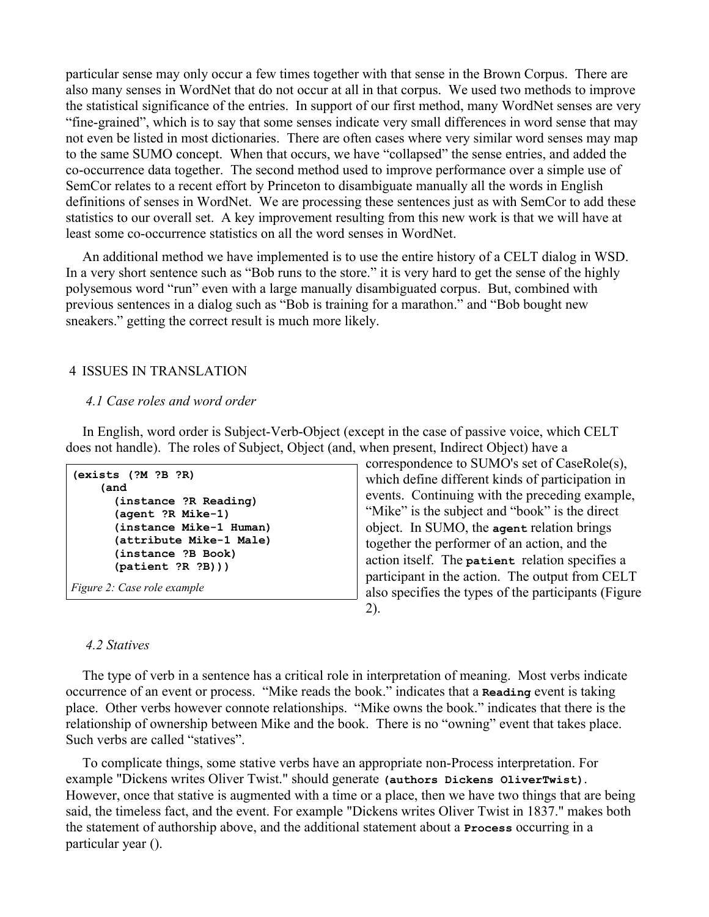particular sense may only occur a few times together with that sense in the Brown Corpus. There are also many senses in WordNet that do not occur at all in that corpus. We used two methods to improve the statistical significance of the entries. In support of our first method, many WordNet senses are very "fine-grained", which is to say that some senses indicate very small differences in word sense that may not even be listed in most dictionaries. There are often cases where very similar word senses may map to the same SUMO concept. When that occurs, we have "collapsed" the sense entries, and added the co-occurrence data together. The second method used to improve performance over a simple use of SemCor relates to a recent effort by Princeton to disambiguate manually all the words in English definitions of senses in WordNet. We are processing these sentences just as with SemCor to add these statistics to our overall set. A key improvement resulting from this new work is that we will have at least some co-occurrence statistics on all the word senses in WordNet.

An additional method we have implemented is to use the entire history of a CELT dialog in WSD. In a very short sentence such as "Bob runs to the store." it is very hard to get the sense of the highly polysemous word "run" even with a large manually disambiguated corpus. But, combined with previous sentences in a dialog such as "Bob is training for a marathon." and "Bob bought new sneakers." getting the correct result is much more likely.

### 4 ISSUES IN TRANSLATION

#### *4.1 Case roles and word order*

In English, word order is Subject-Verb-Object (except in the case of passive voice, which CELT does not handle). The roles of Subject, Object (and, when present, Indirect Object) have a

```
(exists (?M ?B ?R)
     (and 
       (instance ?R Reading)
       (agent ?R Mike-1)
       (instance Mike-1 Human)
       (attribute Mike-1 Male)
       (instance ?B Book)
       (patient ?R ?B)))
```
<span id="page-4-1"></span>*Figure 2: Case role example*

correspondence to SUMO's set of CaseRole(s), which define different kinds of participation in events. Continuing with the preceding example, "Mike" is the subject and "book" is the direct object. In SUMO, the **agent** relation brings together the performer of an action, and the action itself. The **patient** relation specifies a participant in the action. The output from CELT also specifies the types of the participants [\(Figure](#page-4-1) [2\)](#page-4-1).

#### *4.2 Statives*

The type of verb in a sentence has a critical role in interpretation of meaning. Most verbs indicate occurrence of an event or process. "Mike reads the book." indicates that a **Reading** event is taking place. Other verbs however connote relationships. "Mike owns the book." indicates that there is the relationship of ownership between Mike and the book. There is no "owning" event that takes place. Such verbs are called "statives".

<span id="page-4-0"></span>To complicate things, some stative verbs have an appropriate non-Process interpretation. For example "Dickens writes Oliver Twist." should generate **(authors Dickens OliverTwist)**. However, once that stative is augmented with a time or a place, then we have two things that are being said, the timeless fact, and the event. For example "Dickens writes Oliver Twist in 1837." makes both the statement of authorship above, and the additional statement about a **Process** occurring in a particular year [\(\)](#page-4-0).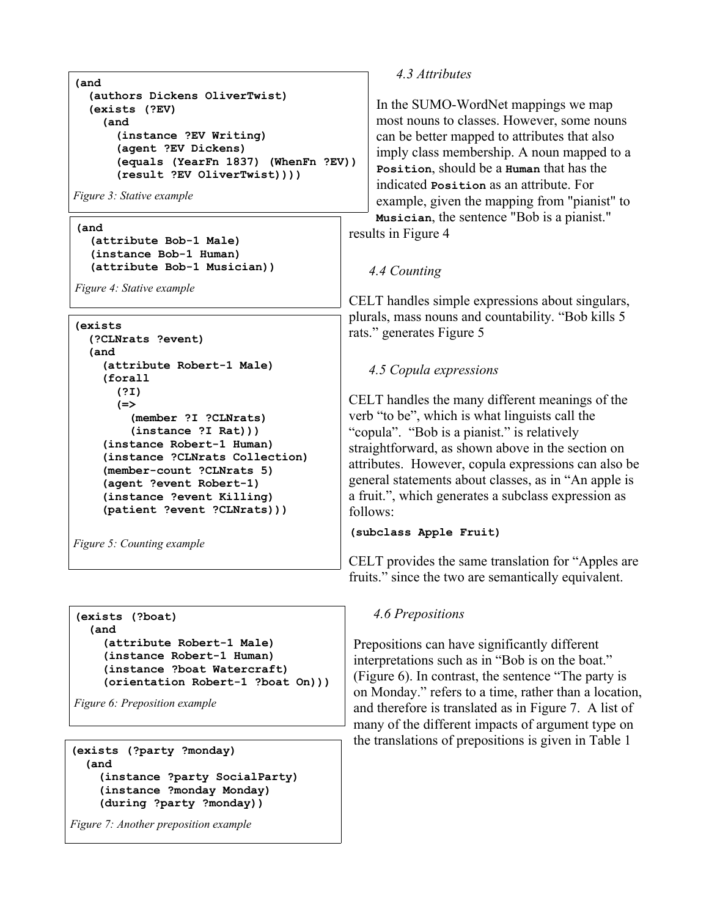```
(and
   (authors Dickens OliverTwist)
   (exists (?EV)
     (and 
       (instance ?EV Writing)
       (agent ?EV Dickens)
       (equals (YearFn 1837) (WhenFn ?EV))
       (result ?EV OliverTwist))))
```
*Figure 3: Stative example*

```
(and
   (attribute Bob-1 Male)
   (instance Bob-1 Human)
   (attribute Bob-1 Musician))
```
<span id="page-5-3"></span>*Figure 4: Stative example*

```
(exists
```

```
 (?CLNrats ?event) 
 (and 
   (attribute Robert-1 Male) 
   (forall 
     (?I) 
     (=> 
        (member ?I ?CLNrats) 
        (instance ?I Rat))) 
   (instance Robert-1 Human) 
   (instance ?CLNrats Collection) 
   (member-count ?CLNrats 5) 
   (agent ?event Robert-1) 
   (instance ?event Killing) 
   (patient ?event ?CLNrats)))
```
<span id="page-5-2"></span>*Figure 5: Counting example*

```
(exists (?boat) 
   (and 
     (attribute Robert-1 Male) 
     (instance Robert-1 Human) 
     (instance ?boat Watercraft) 
     (orientation Robert-1 ?boat On)))
```
<span id="page-5-1"></span>*Figure 6: Preposition example*

```
(exists (?party ?monday) 
   (and 
     (instance ?party SocialParty) 
     (instance ?monday Monday) 
     (during ?party ?monday))
```
<span id="page-5-0"></span>*Figure 7: Another preposition example*

## *4.3 Attributes*

In the SUMO-WordNet mappings we map most nouns to classes. However, some nouns can be better mapped to attributes that also imply class membership. A noun mapped to a **Position**, should be a **Human** that has the indicated **Position** as an attribute. For example, given the mapping from "pianist" to **Musician**, the sentence "Bob is a pianist." results in [Figure 4](#page-5-3)

## *4.4 Counting*

CELT handles simple expressions about singulars, plurals, mass nouns and countability. "Bob kills 5 rats." generates [Figure 5](#page-5-2)

## *4.5 Copula expressions*

CELT handles the many different meanings of the verb "to be", which is what linguists call the "copula". "Bob is a pianist." is relatively straightforward, as shown above in the section on attributes. However, copula expressions can also be general statements about classes, as in "An apple is a fruit.", which generates a subclass expression as follows:

## **(subclass Apple Fruit)**

CELT provides the same translation for "Apples are fruits." since the two are semantically equivalent.

## *4.6 Prepositions*

Prepositions can have significantly different interpretations such as in "Bob is on the boat." [\(Figure 6\)](#page-5-1). In contrast, the sentence "The party is on Monday." refers to a time, rather than a location, and therefore is translated as in [Figure 7.](#page-5-0) A list of many of the different impacts of argument type on the translations of prepositions is given in [Table 1](#page-6-0)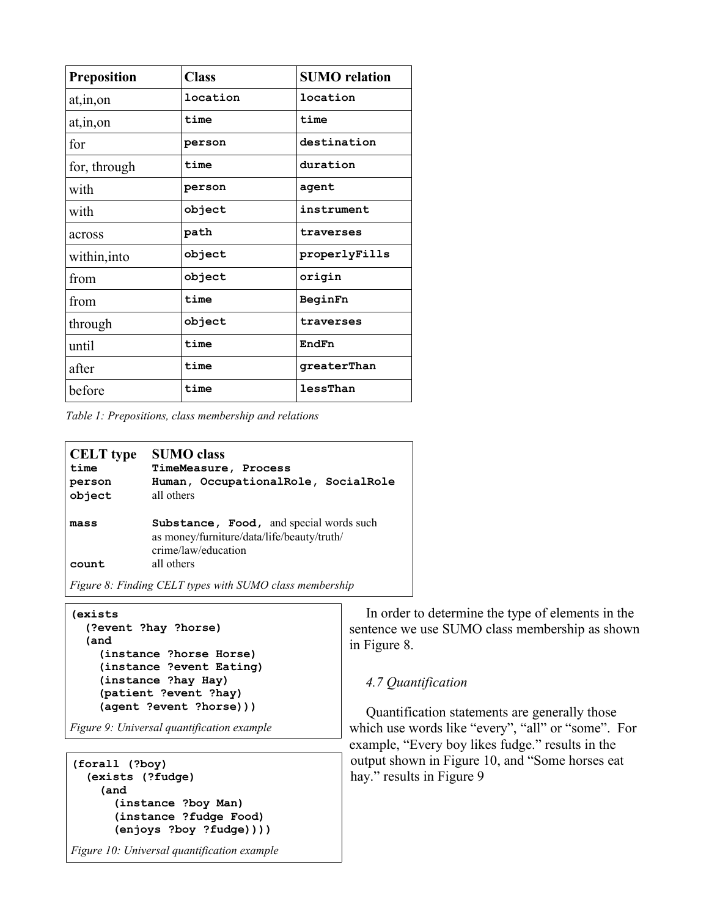| <b>Preposition</b> | <b>Class</b> | <b>SUMO</b> relation |
|--------------------|--------------|----------------------|
| at, in, on         | location     | location             |
| at,in,on           | time         | time                 |
| for                | person       | destination          |
| for, through       | time         | duration             |
| with               | person       | agent                |
| with               | object       | instrument           |
| across             | path         | traverses            |
| within, into       | object       | properlyFills        |
| from               | object       | origin               |
| from               | time         | BeginFn              |
| through            | object       | traverses            |
| until              | time         | EndFn                |
| after              | time         | greaterThan          |
| before             | time         | lessThan             |

<span id="page-6-0"></span>*Table 1: Prepositions, class membership and relations*

| <b>CELT</b> type<br>time<br>person<br>object | <b>SUMO</b> class<br>TimeMeasure, Process<br>Human, OccupationalRole, SocialRole<br>all others |  |
|----------------------------------------------|------------------------------------------------------------------------------------------------|--|
| mass                                         | Substance, Food, and special words such<br>as money/furniture/data/life/beauty/truth/          |  |
| count                                        | crime/law/education<br>all others                                                              |  |

<span id="page-6-3"></span>*Figure 8: Finding CELT types with SUMO class membership*

```
(exists 
   (?event ?hay ?horse) 
   (and 
     (instance ?horse Horse) 
     (instance ?event Eating) 
     (instance ?hay Hay) 
     (patient ?event ?hay) 
     (agent ?event ?horse)))
```
<span id="page-6-1"></span>*Figure 9: Universal quantification example*

```
(forall (?boy) 
   (exists (?fudge) 
     (and 
       (instance ?boy Man) 
       (instance ?fudge Food) 
       (enjoys ?boy ?fudge))))
```
<span id="page-6-2"></span>*Figure 10: Universal quantification example*

In order to determine the type of elements in the sentence we use SUMO class membership as shown in [Figure 8.](#page-6-3)

## *4.7 Quantification*

Quantification statements are generally those which use words like "every", "all" or "some". For example, "Every boy likes fudge." results in the output shown in [Figure 10,](#page-6-2) and "Some horses eat hay." results in [Figure 9](#page-6-1)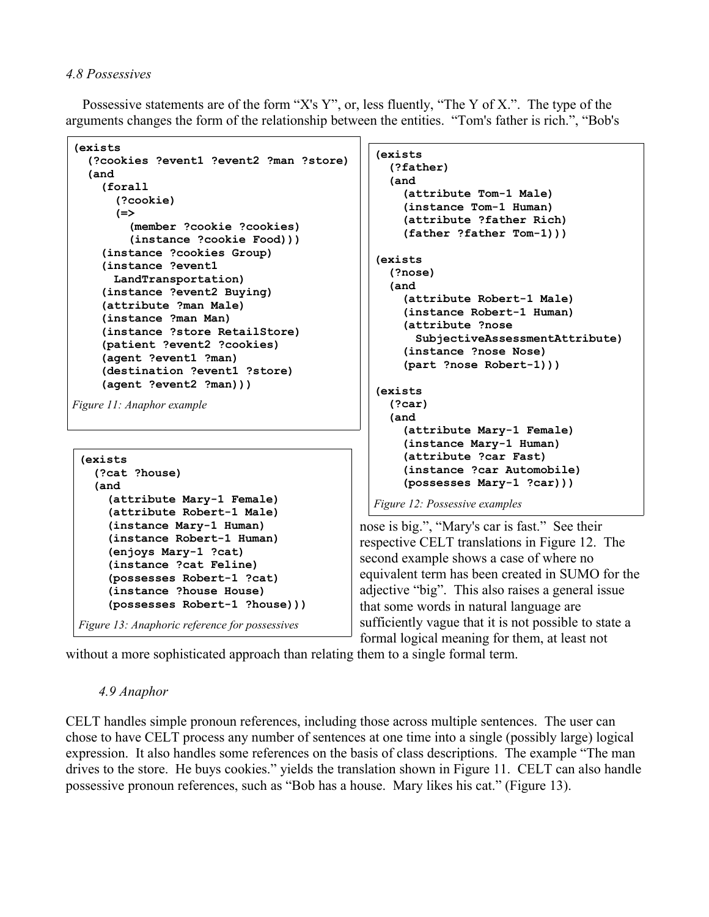## *4.8 Possessives*

Possessive statements are of the form "X's Y", or, less fluently, "The Y of X.". The type of the arguments changes the form of the relationship between the entities. "Tom's father is rich.", "Bob's

```
(exists 
   (?cookies ?event1 ?event2 ?man ?store)
   (and 
     (forall 
        (?cookie) 
        (=> 
          (member ?cookie ?cookies) 
          (instance ?cookie Food))) 
      (instance ?cookies Group) 
      (instance ?event1
       LandTransportation) 
      (instance ?event2 Buying) 
     (attribute ?man Male) 
     (instance ?man Man) 
     (instance ?store RetailStore) 
      (patient ?event2 ?cookies) 
      (agent ?event1 ?man) 
      (destination ?event1 ?store) 
      (agent ?event2 ?man)))
Figure 11: Anaphor example
 (exists
```

```
 (?cat ?house) 
   (and 
     (attribute Mary-1 Female) 
     (attribute Robert-1 Male) 
     (instance Mary-1 Human) 
     (instance Robert-1 Human) 
     (enjoys Mary-1 ?cat) 
     (instance ?cat Feline) 
     (possesses Robert-1 ?cat) 
     (instance ?house House) 
     (possesses Robert-1 ?house)))
Figure 13: Anaphoric reference for possessives
```

```
(exists 
   (?father) 
   (and 
     (attribute Tom-1 Male) 
     (instance Tom-1 Human) 
     (attribute ?father Rich) 
     (father ?father Tom-1)))
(exists 
   (?nose) 
   (and 
     (attribute Robert-1 Male) 
     (instance Robert-1 Human) 
     (attribute ?nose 
       SubjectiveAssessmentAttribute) 
     (instance ?nose Nose) 
     (part ?nose Robert-1)))
(exists 
   (?car) 
   (and 
     (attribute Mary-1 Female) 
     (instance Mary-1 Human) 
     (attribute ?car Fast) 
     (instance ?car Automobile) 
     (possesses Mary-1 ?car)))
```

```
Figure 12: Possessive examples
```
nose is big.", "Mary's car is fast." See their respective CELT translations in [Figure 12.](#page-7-2) The second example shows a case of where no equivalent term has been created in SUMO for the adjective "big". This also raises a general issue that some words in natural language are sufficiently vague that it is not possible to state a formal logical meaning for them, at least not

<span id="page-7-0"></span>without a more sophisticated approach than relating them to a single formal term.

## *4.9 Anaphor*

CELT handles simple pronoun references, including those across multiple sentences. The user can chose to have CELT process any number of sentences at one time into a single (possibly large) logical expression. It also handles some references on the basis of class descriptions. The example "The man drives to the store. He buys cookies." yields the translation shown in [Figure 11.](#page-7-1) CELT can also handle possessive pronoun references, such as "Bob has a house. Mary likes his cat." [\(Figure 13\)](#page-7-0).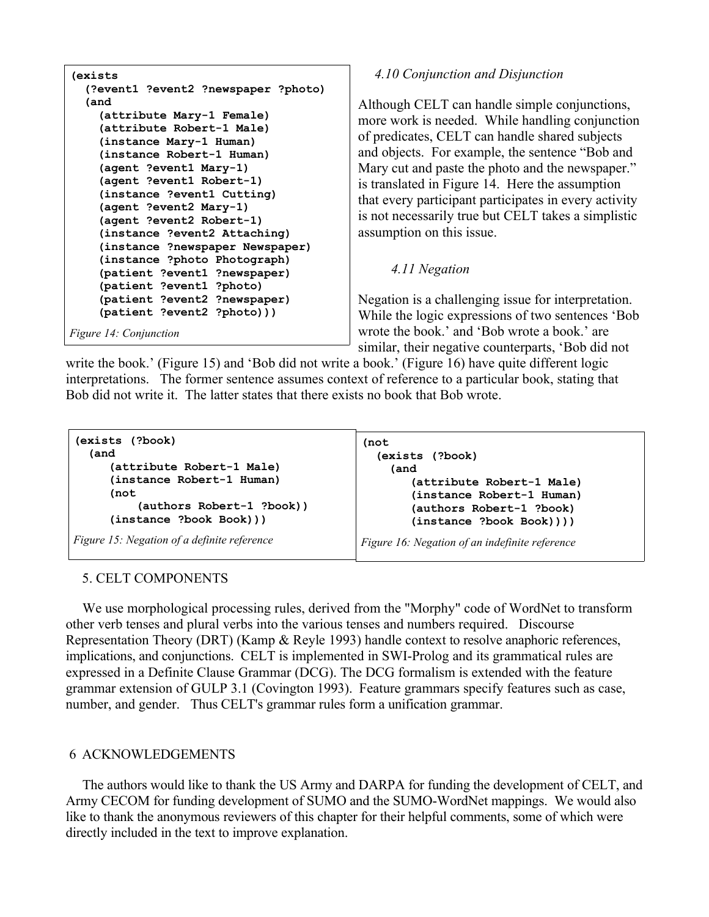```
(exists 
   (?event1 ?event2 ?newspaper ?photo) 
   (and 
     (attribute Mary-1 Female) 
     (attribute Robert-1 Male) 
     (instance Mary-1 Human) 
     (instance Robert-1 Human) 
     (agent ?event1 Mary-1) 
     (agent ?event1 Robert-1) 
     (instance ?event1 Cutting) 
     (agent ?event2 Mary-1) 
     (agent ?event2 Robert-1) 
     (instance ?event2 Attaching) 
     (instance ?newspaper Newspaper) 
     (instance ?photo Photograph) 
     (patient ?event1 ?newspaper) 
     (patient ?event1 ?photo) 
     (patient ?event2 ?newspaper) 
     (patient ?event2 ?photo)))
Figure 14: Conjunction
```
### *4.10 Conjunction and Disjunction*

Although CELT can handle simple conjunctions, more work is needed. While handling conjunction of predicates, CELT can handle shared subjects and objects. For example, the sentence "Bob and Mary cut and paste the photo and the newspaper." is translated in [Figure 14.](#page-8-2) Here the assumption that every participant participates in every activity is not necessarily true but CELT takes a simplistic assumption on this issue.

## *4.11 Negation*

<span id="page-8-0"></span>Negation is a challenging issue for interpretation. While the logic expressions of two sentences 'Bob wrote the book.' and 'Bob wrote a book.' are similar, their negative counterparts, 'Bob did not

<span id="page-8-2"></span>write the book.' [\(Figure 15\)](#page-8-1) and 'Bob did not write a book.' [\(Figure 16\)](#page-8-0) have quite different logic interpretations. The former sentence assumes context of reference to a particular book, stating that Bob did not write it. The latter states that there exists no book that Bob wrote.

| (exists (?book)<br>(and<br>(attribute Robert-1 Male)<br>(instance Robert-1 Human)<br>(not<br>(authors Robert-1 ?book))<br>$(instance$ ?book Book))) | (not<br>(exists (?book)<br>(and<br>(attribute Robert-1 Male)<br>(instance Robert-1 Human)<br>(authors Robert-1 ?book)<br>$(instance$ ?book Book)))) |
|-----------------------------------------------------------------------------------------------------------------------------------------------------|-----------------------------------------------------------------------------------------------------------------------------------------------------|
| Figure 15: Negation of a definite reference                                                                                                         | Figure 16: Negation of an indefinite reference                                                                                                      |

### <span id="page-8-1"></span>5. CELT COMPONENTS

We use morphological processing rules, derived from the "Morphy" code of WordNet to transform other verb tenses and plural verbs into the various tenses and numbers required. Discourse Representation Theory (DRT) (Kamp & Reyle 1993) handle context to resolve anaphoric references, implications, and conjunctions. CELT is implemented in SWI-Prolog and its grammatical rules are expressed in a Definite Clause Grammar (DCG). The DCG formalism is extended with the feature grammar extension of GULP 3.1 (Covington 1993). Feature grammars specify features such as case, number, and gender. Thus CELT's grammar rules form a unification grammar.

## 6 ACKNOWLEDGEMENTS

The authors would like to thank the US Army and DARPA for funding the development of CELT, and Army CECOM for funding development of SUMO and the SUMO-WordNet mappings. We would also like to thank the anonymous reviewers of this chapter for their helpful comments, some of which were directly included in the text to improve explanation.